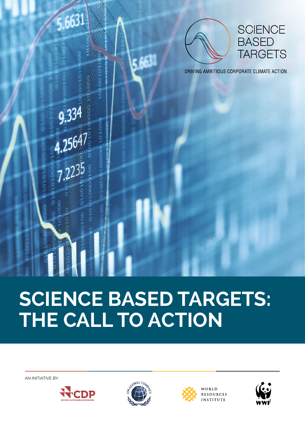

# **SCIENCE BASED TARGETS: THE CALL TO ACTION**

AN INITIATIVE BY:







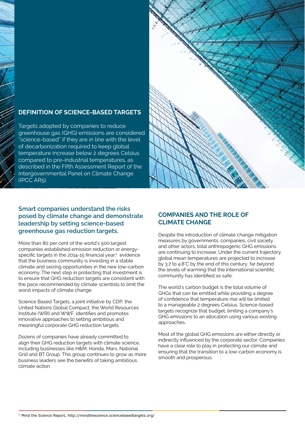# **DEFINITION OF SCIENCE-BASED TARGETS**

Targets adopted by companies to reduce greenhouse gas (GHG) emissions are considered "science-based" if they are in line with the level of decarbonization required to keep global temperature increase below 2 degrees Celsius compared to pre-industrial temperatures, as described in the Fifth Assessment Report of the Intergovernmental Panel on Climate Change (IPCC AR5).



# **Smart companies understand the risks posed by climate change and demonstrate leadership by setting science-based greenhouse gas reduction targets.**

More than 80 per cent of the world's 500 largest companies established emission reduction or energyspecific targets in the 2014-15 financial year $;$ <sup>1</sup> evidence that the business community is investing in a stable climate and seizing opportunities in the new low-carbon economy. The next step in protecting that investment is to ensure that GHG reduction targets are consistent with the pace recommended by climate scientists to limit the worst impacts of climate change.

Science Based Targets, a joint initiative by CDP, the United Nations Global Compact, the World Resources Institute (WRI) and WWF, identifies and promotes innovative approaches to setting ambitious and meaningful corporate GHG reduction targets.

Dozens of companies have already committed to align their GHG reduction targets with climate science, including businesses like H&M, Honda, Mars, National Grid and BT Group. This group continues to grow as more business leaders see the benefits of taking ambitious climate action.

# **COMPANIES AND THE ROLE OF CLIMATE CHANGE**

Despite the introduction of climate change mitigation measures by governments, companies, civil society and other actors, total anthropogenic GHG emissions are continuing to increase. Under the current trajectory, global mean temperatures are projected to increase by 3.7 to 4.8°C by the end of this century, far beyond the levels of warming that the international scientific community has identified as safe.

The world's carbon budget is the total volume of GHGs that can be emitted while providing a degree of confidence that temperature rise will be limited to a manageable 2 degrees Celsius. Science-based targets recognize that budget, limiting a company's GHG emissions to an allocation using various existing approaches.

Most of the global GHG emissions are either directly or indirectly influenced by the corporate sector. Companies have a clear role to play in protecting our climate and ensuring that the transition to a low-carbon economy is smooth and prosperous.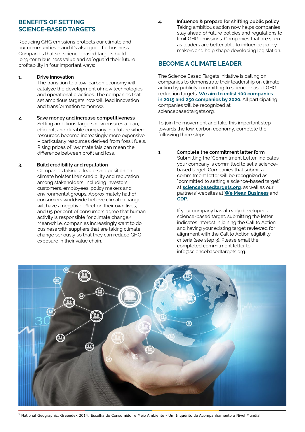# **BENEFITS OF SETTING SCIENCE-BASED TARGETS**

Reducing GHG emissions protects our climate and our communities – and it's also good for business. Companies that set science-based targets build long-term business value and safeguard their future profitability in four important ways:

#### **1. Drive innovation**

The transition to a low-carbon economy will catalyze the development of new technologies and operational practices. The companies that set ambitious targets now will lead innovation and transformation tomorrow.

**2. Save money and increase competitiveness** Setting ambitious targets now ensures a lean. efficient, and durable company in a future where resources become increasingly more expensive – particularly resources derived from fossil fuels. Rising prices of raw materials can mean the difference between profit and loss.

#### **3. Build credibility and reputation**

Companies taking a leadership position on climate bolster their credibility and reputation among stakeholders, including investors, customers, employees, policy makers and environmental groups. Approximately half of consumers worldwide believe climate change will have a negative effect on their own lives. and 65 per cent of consumers agree that human activity is responsible for climate change.<sup>2</sup> Meanwhile, companies increasingly want to do business with suppliers that are taking climate change seriously so that they can reduce GHG exposure in their value chain.

**4. Influence & prepare for shifting public policy** Taking ambitious action now helps companies stay ahead of future policies and regulations to limit GHG emissions. Companies that are seen as leaders are better able to influence policy makers and help shape developing legislation.

# **BECOME A CLIMATE LEADER**

The Science Based Targets initiative is calling on companies to demonstrate their leadership on climate action by publicly committing to science-based GHG reduction targets. **We aim to enlist 100 companies in 2015 and 250 companies by 2020.** All participating companies will be recognized at [sciencebasedtargets.org.](http://sciencebasedtargets.org.)

To join the movement and take this important step towards the low-carbon economy, complete the following three steps:

**1. Complete the commitment letter form** Submitting the 'Commitment Letter' indicates your company is committed to set a sciencebased target. Companies that submit a commitment letter will be recognized as "committed to setting a science-based target" at **[sciencebasedtargets.org](http://www.sciencebasedtargets.org/)**, as well as our partners' websites at **[We Mean Business](http://www.wemeanbusinesscoalition.org/take-action)** and **[CDP](https://www.cdp.net/en-US/Pages/RTP/adopt-science-based-targets.aspx)**.

> If your company has already developed a science-based target, submitting the letter indicates interest in joining the Call to Action and having your existing target reviewed for alignment with the Call to Action eligibility criteria (see step 3). Please email the completed commitment letter to info@sciencebasedtargets.org.



<sup>2</sup> National Geographic, Greendex 2014: Escolha do Consumidor e Meio Ambiente - Um Inquérito de Acompanhamento a Nível Mundial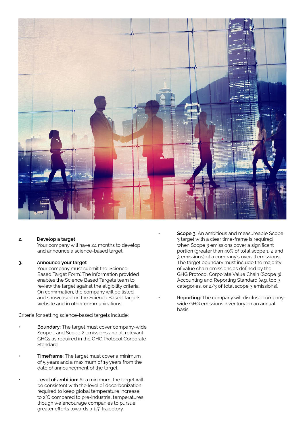

#### **2. Develop a target**

Your company will have 24 months to develop and announce a science-based target.

#### **3. Announce your target**

Your company must submit the 'Science Based Target Form'. The information provided enables the Science Based Targets team to review the target against the eligibility criteria. On confirmation, the company will be listed and showcased on the Science Based Targets website and in other communications.

Criteria for setting science-based targets include:

- **Boundary:** The target must cover company-wide Scope 1 and Scope 2 emissions and all relevant GHGs as required in the GHG Protocol Corporate Standard.
- **Timeframe:** The target must cover a minimum of 5 years and a maximum of 15 years from the date of announcement of the target.
- **Level of ambition:** At a minimum, the target will be consistent with the level of decarbonization required to keep global temperature increase to 2°C compared to pre-industrial temperatures, though we encourage companies to pursue greater efforts towards a 1.5° trajectory.
- **Scope 3:** An ambitious and measureable Scope 3 target with a clear time-frame is required when Scope 3 emissions cover a significant portion (greater than 40% of total scope 1, 2 and 3 emissions) of a company's overall emissions. The target boundary must include the majority of value chain emissions as defined by the GHG Protocol Corporate Value Chain (Scope 3) Accounting and Reporting Standard (e.g. top 3 categories, or 2/3 of total scope 3 emissions).
- **• Reporting:** The company will disclose companywide GHG emissions inventory on an annual basis.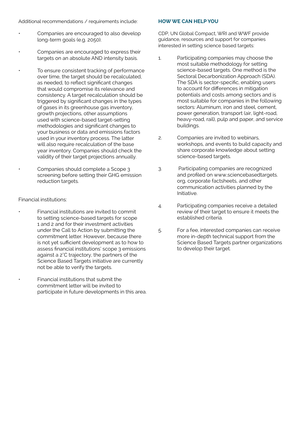Additional recommendations / requirements include:

- Companies are encouraged to also develop long-term goals (e.g. 2050).
- Companies are encouraged to express their targets on an absolute AND intensity basis.
- To ensure consistent tracking of performance over time, the target should be recalculated, as needed, to reflect significant changes that would compromise its relevance and consistency. A target recalculation should be triggered by significant changes in the types of gases in its greenhouse gas inventory, growth projections, other assumptions used with science-based target-setting methodologies and significant changes to your business or data and emissions factors used in your inventory process. The latter will also require recalculation of the base year inventory. Companies should check the validity of their target projections annually.
- Companies should complete a Scope 3 screening before setting their GHG emission reduction targets.

### Financial institutions:

- Financial institutions are invited to commit to setting science-based targets for scope 1 and 2 and for their investment activities under the Call to Action by submitting the commitment letter. However, because there is not yet sufficient development as to how to assess financial institutions' scope 3 emissions against a 2°C trajectory, the partners of the Science Based Targets initiative are currently not be able to verify the targets.
	- Financial institutions that submit the commitment letter will be invited to participate in future developments in this area.

#### **HOW WE CAN HELP YOU**

CDP, UN Global Compact, WRI and WWF provide guidance, resources and support for companies interested in setting science based targets:

- 1. Participating companies may choose the most suitable methodology for setting science-based targets. One method is the Sectoral Decarbonization Approach (SDA). The SDA is sector-specific, enabling users to account for differences in mitigation potentials and costs among sectors and is most suitable for companies in the following sectors: Aluminum, iron and steel, cement, power generation, transport (air, light-road, heavy-road, rail), pulp and paper, and service buildings.
- 2. Companies are invited to webinars, workshops, and events to build capacity and share corporate knowledge about setting science-based targets.
- 3. Participating companies are recognized and profiled on www,sciencebasedtargets. org, corporate factsheets, and other communication activities planned by the Initiative.
- 4. Participating companies receive a detailed review of their target to ensure it meets the established criteria.
- 5. For a fee, interested companies can receive more in-depth technical support from the Science Based Targets partner organizations to develop their target.